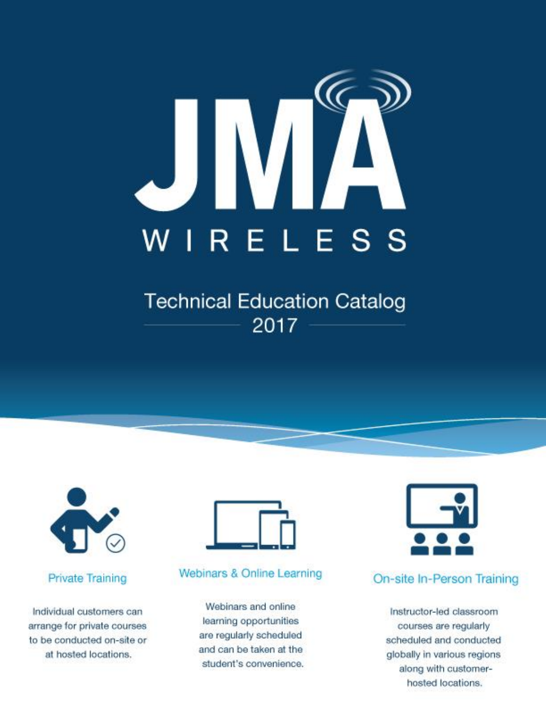

# **Technical Education Catalog** 2017



#### **Private Training**

Individual customers can arrange for private courses to be conducted on-site or at hosted locations.



#### Webinars & Online Learning

Webinars and online learning opportunities are regularly scheduled and can be taken at the student's convenience.



## On-site In-Person Training

Instructor-led classroom courses are regularly scheduled and conducted globally in various regions along with customerhosted locations.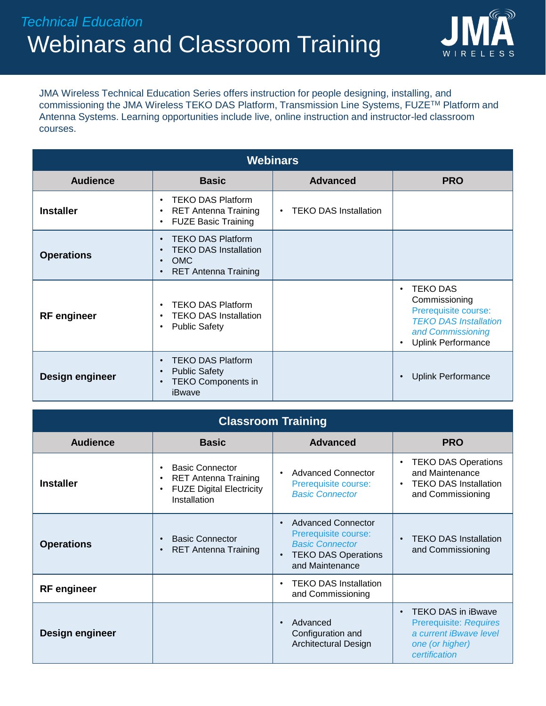

JMA Wireless Technical Education Series offers instruction for people designing, installing, and commissioning the JMA Wireless TEKO DAS Platform, Transmission Line Systems, FUZETM Platform and Antenna Systems. Learning opportunities include live, online instruction and instructor-led classroom courses.

| <b>Webinars</b>        |                                                                                                                    |                                           |                                                                                                                                                                      |  |
|------------------------|--------------------------------------------------------------------------------------------------------------------|-------------------------------------------|----------------------------------------------------------------------------------------------------------------------------------------------------------------------|--|
| <b>Audience</b>        | <b>Basic</b>                                                                                                       | <b>Advanced</b>                           | <b>PRO</b>                                                                                                                                                           |  |
| <b>Installer</b>       | <b>TEKO DAS Platform</b><br><b>RET Antenna Training</b><br>$\bullet$<br><b>FUZE Basic Training</b>                 | <b>TEKO DAS Installation</b><br>$\bullet$ |                                                                                                                                                                      |  |
| <b>Operations</b>      | <b>TEKO DAS Platform</b><br><b>TEKO DAS Installation</b><br><b>OMC</b><br>$\bullet$<br><b>RET Antenna Training</b> |                                           |                                                                                                                                                                      |  |
| <b>RF</b> engineer     | <b>TEKO DAS Platform</b><br><b>TEKO DAS Installation</b><br>$\bullet$<br><b>Public Safety</b><br>$\bullet$         |                                           | <b>TEKO DAS</b><br>$\bullet$<br>Commissioning<br>Prerequisite course:<br><b>TEKO DAS Installation</b><br>and Commissioning<br><b>Uplink Performance</b><br>$\bullet$ |  |
| <b>Design engineer</b> | <b>TEKO DAS Platform</b><br><b>Public Safety</b><br>$\bullet$<br><b>TEKO Components in</b><br>$\bullet$<br>iBwave  |                                           | <b>Uplink Performance</b><br>$\bullet$                                                                                                                               |  |

| <b>Classroom Training</b> |                                                                                                                                    |                                                                                                                              |                                                                                                                                       |  |
|---------------------------|------------------------------------------------------------------------------------------------------------------------------------|------------------------------------------------------------------------------------------------------------------------------|---------------------------------------------------------------------------------------------------------------------------------------|--|
| <b>Audience</b>           | <b>Basic</b>                                                                                                                       | <b>Advanced</b>                                                                                                              | <b>PRO</b>                                                                                                                            |  |
| <b>Installer</b>          | <b>Basic Connector</b><br>$\bullet$<br><b>RET Antenna Training</b><br><b>FUZE Digital Electricity</b><br>$\bullet$<br>Installation | <b>Advanced Connector</b><br>$\bullet$<br>Prerequisite course:<br><b>Basic Connector</b>                                     | <b>TEKO DAS Operations</b><br>$\bullet$<br>and Maintenance<br><b>TEKO DAS Installation</b><br>$\bullet$<br>and Commissioning          |  |
| <b>Operations</b>         | <b>Basic Connector</b><br>$\bullet$<br><b>RET Antenna Training</b><br>$\bullet$                                                    | <b>Advanced Connector</b><br>Prerequisite course:<br><b>Basic Connector</b><br><b>TEKO DAS Operations</b><br>and Maintenance | <b>TEKO DAS Installation</b><br>$\bullet$<br>and Commissioning                                                                        |  |
| <b>RF</b> engineer        |                                                                                                                                    | <b>TEKO DAS Installation</b><br>and Commissioning                                                                            |                                                                                                                                       |  |
| Design engineer           |                                                                                                                                    | Advanced<br>Configuration and<br>Architectural Design                                                                        | <b>TEKO DAS in iBwave</b><br>$\bullet$<br><b>Prerequisite: Requires</b><br>a current iBwaye level<br>one (or higher)<br>certification |  |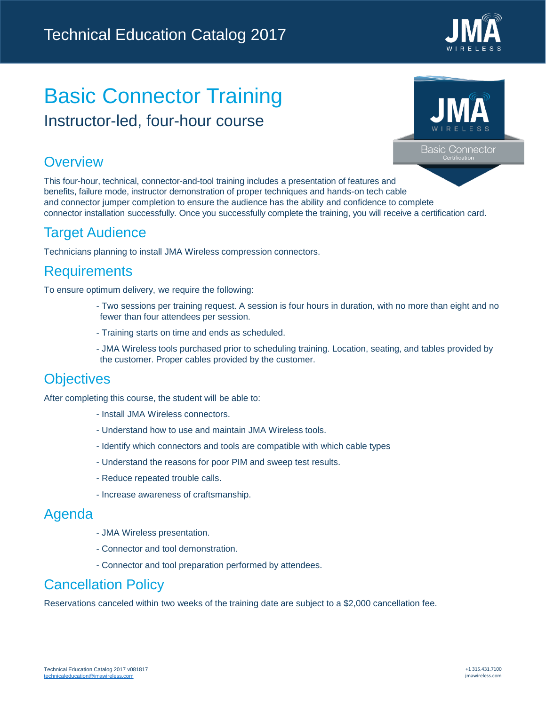

# Basic Connector Training Instructor-led, four-hour course



**Basic Connector** 

### **Overview**

This four-hour, technical, connector-and-tool training includes a presentation of features and benefits, failure mode, instructor demonstration of proper techniques and hands-on tech cable and connector jumper completion to ensure the audience has the ability and confidence to complete connector installation successfully. Once you successfully complete the training, you will receive a certification card.

## Target Audience

Technicians planning to install JMA Wireless compression connectors.

## **Requirements**

To ensure optimum delivery, we require the following:

- Two sessions per training request. A session is four hours in duration, with no more than eight and no fewer than four attendees per session.
- Training starts on time and ends as scheduled.
- JMA Wireless tools purchased prior to scheduling training. Location, seating, and tables provided by the customer. Proper cables provided by the customer.

## **Objectives**

After completing this course, the student will be able to:

- Install JMA Wireless connectors.
- Understand how to use and maintain JMA Wireless tools.
- Identify which connectors and tools are compatible with which cable types
- Understand the reasons for poor PIM and sweep test results.
- Reduce repeated trouble calls.
- Increase awareness of craftsmanship.

### Agenda

- JMA Wireless presentation.
- Connector and tool demonstration.
- Connector and tool preparation performed by attendees.

## Cancellation Policy

Reservations canceled within two weeks of the training date are subject to a \$2,000 cancellation fee.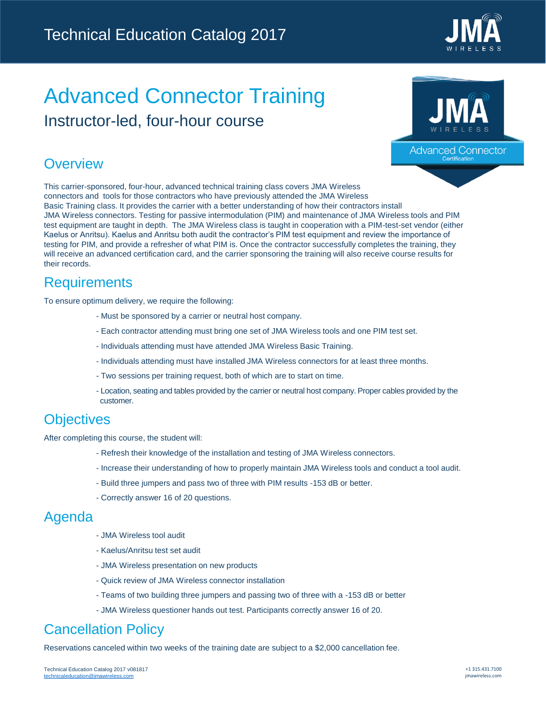

# Advanced Connector Training Instructor-led, four-hour course



Advanced Connector

### **Overview**

This carrier-sponsored, four-hour, advanced technical training class covers JMA Wireless connectors and tools for those contractors who have previously attended the JMA Wireless Basic Training class. It provides the carrier with a better understanding of how their contractors install JMA Wireless connectors. Testing for passive intermodulation (PIM) and maintenance of JMA Wireless tools and PIM test equipment are taught in depth. The JMA Wireless class is taught in cooperation with a PIM-test-set vendor (either Kaelus or Anritsu). Kaelus and Anritsu both audit the contractor's PIM test equipment and review the importance of testing for PIM, and provide a refresher of what PIM is. Once the contractor successfully completes the training, they will receive an advanced certification card, and the carrier sponsoring the training will also receive course results for their records.

## Requirements

To ensure optimum delivery, we require the following:

- Must be sponsored by a carrier or neutral host company.
- Each contractor attending must bring one set of JMA Wireless tools and one PIM test set.
- Individuals attending must have attended JMA Wireless Basic Training.
- Individuals attending must have installed JMA Wireless connectors for at least three months.
- Two sessions per training request, both of which are to start on time.
- Location, seating and tables provided by the carrier or neutral host company. Proper cables provided by the customer.

## **Objectives**

After completing this course, the student will:

- Refresh their knowledge of the installation and testing of JMA Wireless connectors.
- Increase their understanding of how to properly maintain JMA Wireless tools and conduct a tool audit.
- Build three jumpers and pass two of three with PIM results -153 dB or better.
- Correctly answer 16 of 20 questions.

#### Agenda

- JMA Wireless tool audit
- Kaelus/Anritsu test set audit
- JMA Wireless presentation on new products
- Quick review of JMA Wireless connector installation
- Teams of two building three jumpers and passing two of three with a -153 dB or better
- JMA Wireless questioner hands out test. Participants correctly answer 16 of 20.

## Cancellation Policy

Reservations canceled within two weeks of the training date are subject to a \$2,000 cancellation fee.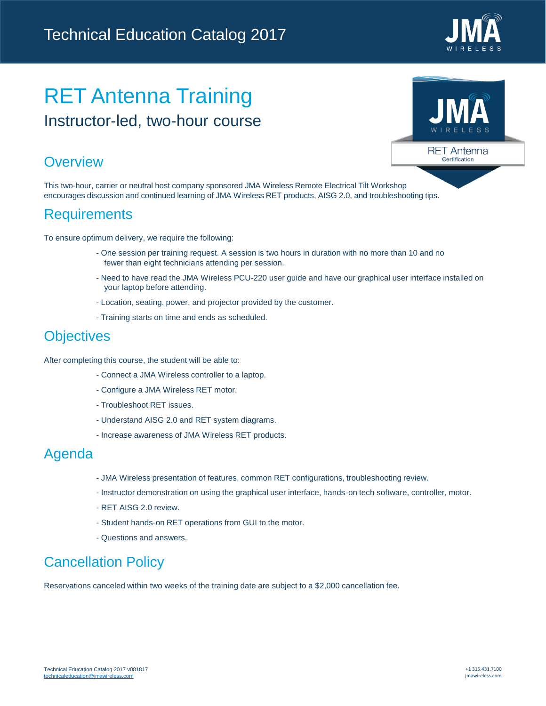

**RET Antenna** Certification

# RET Antenna Training Instructor-led, two-hour course

## **Overview**

This two-hour, carrier or neutral host company sponsored JMA Wireless Remote Electrical Tilt Workshop encourages discussion and continued learning of JMA Wireless RET products, AISG 2.0, and troubleshooting tips.

## **Requirements**

To ensure optimum delivery, we require the following:

- One session per training request. A session is two hours in duration with no more than 10 and no fewer than eight technicians attending per session.
- Need to have read the JMA Wireless PCU-220 user guide and have our graphical user interface installed on your laptop before attending.
- Location, seating, power, and projector provided by the customer.
- Training starts on time and ends as scheduled.

## **Objectives**

After completing this course, the student will be able to:

- Connect a JMA Wireless controller to a laptop.
- Configure a JMA Wireless RET motor.
- Troubleshoot RET issues.
- Understand AISG 2.0 and RET system diagrams.
- Increase awareness of JMA Wireless RET products.

### Agenda

- JMA Wireless presentation of features, common RET configurations, troubleshooting review.
- Instructor demonstration on using the graphical user interface, hands-on tech software, controller, motor.
- RET AISG 2.0 review.
- Student hands-on RET operations from GUI to the motor.
- Questions and answers.

## Cancellation Policy

Reservations canceled within two weeks of the training date are subject to a \$2,000 cancellation fee.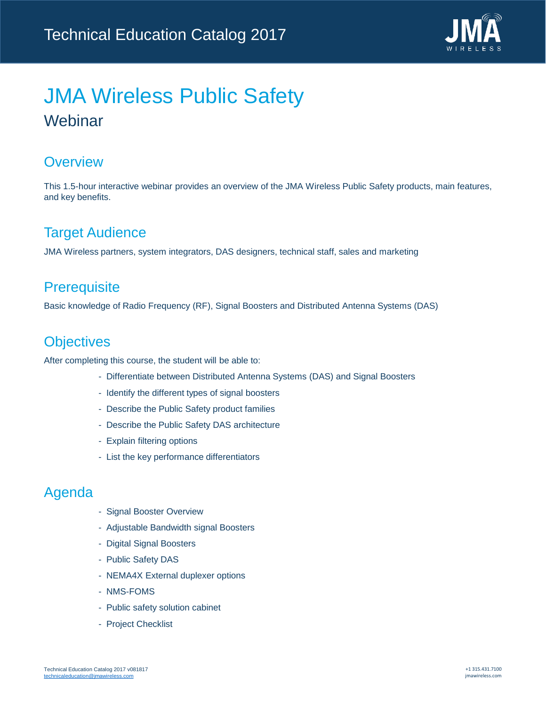

# JMA Wireless Public Safety Webinar

### **Overview**

This 1.5-hour interactive webinar provides an overview of the JMA Wireless Public Safety products, main features, and key benefits.

## Target Audience

JMA Wireless partners, system integrators, DAS designers, technical staff, sales and marketing

## **Prerequisite**

Basic knowledge of Radio Frequency (RF), Signal Boosters and Distributed Antenna Systems (DAS)

## **Objectives**

After completing this course, the student will be able to:

- Differentiate between Distributed Antenna Systems (DAS) and Signal Boosters
- Identify the different types of signal boosters
- Describe the Public Safety product families
- Describe the Public Safety DAS architecture
- Explain filtering options
- List the key performance differentiators

- Signal Booster Overview
- Adjustable Bandwidth signal Boosters
- Digital Signal Boosters
- Public Safety DAS
- NEMA4X External duplexer options
- NMS-FOMS
- Public safety solution cabinet
- Project Checklist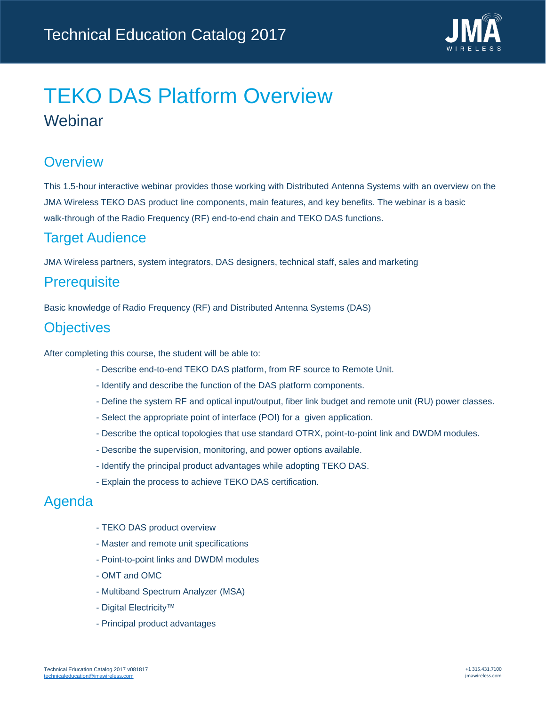

# TEKO DAS Platform Overview Webinar

## **Overview**

This 1.5-hour interactive webinar provides those working with Distributed Antenna Systems with an overview on the JMA Wireless TEKO DAS product line components, main features, and key benefits. The webinar is a basic walk-through of the Radio Frequency (RF) end-to-end chain and TEKO DAS functions.

## Target Audience

JMA Wireless partners, system integrators, DAS designers, technical staff, sales and marketing

## **Prerequisite**

Basic knowledge of Radio Frequency (RF) and Distributed Antenna Systems (DAS)

## **Objectives**

After completing this course, the student will be able to:

- Describe end-to-end TEKO DAS platform, from RF source to Remote Unit.
- Identify and describe the function of the DAS platform components.
- Define the system RF and optical input/output, fiber link budget and remote unit (RU) power classes.
- Select the appropriate point of interface (POI) for a given application.
- Describe the optical topologies that use standard OTRX, point-to-point link and DWDM modules.
- Describe the supervision, monitoring, and power options available.
- Identify the principal product advantages while adopting TEKO DAS.
- Explain the process to achieve TEKO DAS certification.

- TEKO DAS product overview
- Master and remote unit specifications
- Point-to-point links and DWDM modules
- OMT and OMC
- Multiband Spectrum Analyzer (MSA)
- Digital Electricity™
- Principal product advantages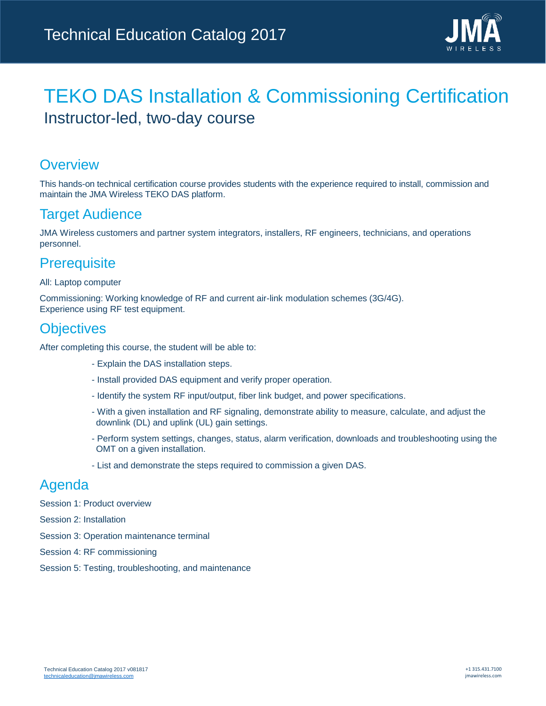

## TEKO DAS Installation & Commissioning Certification Instructor-led, two-day course

### **Overview**

This hands-on technical certification course provides students with the experience required to install, commission and maintain the JMA Wireless TEKO DAS platform.

## Target Audience

JMA Wireless customers and partner system integrators, installers, RF engineers, technicians, and operations personnel.

### **Prerequisite**

#### All: Laptop computer

Commissioning: Working knowledge of RF and current air-link modulation schemes (3G/4G). Experience using RF test equipment.

### **Objectives**

After completing this course, the student will be able to:

- Explain the DAS installation steps.
- Install provided DAS equipment and verify proper operation.
- Identify the system RF input/output, fiber link budget, and power specifications.
- With a given installation and RF signaling, demonstrate ability to measure, calculate, and adjust the downlink (DL) and uplink (UL) gain settings.
- Perform system settings, changes, status, alarm verification, downloads and troubleshooting using the OMT on a given installation.
- List and demonstrate the steps required to commission a given DAS.

- Session 1: Product overview
- Session 2: Installation
- Session 3: Operation maintenance terminal
- Session 4: RF commissioning
- Session 5: Testing, troubleshooting, and maintenance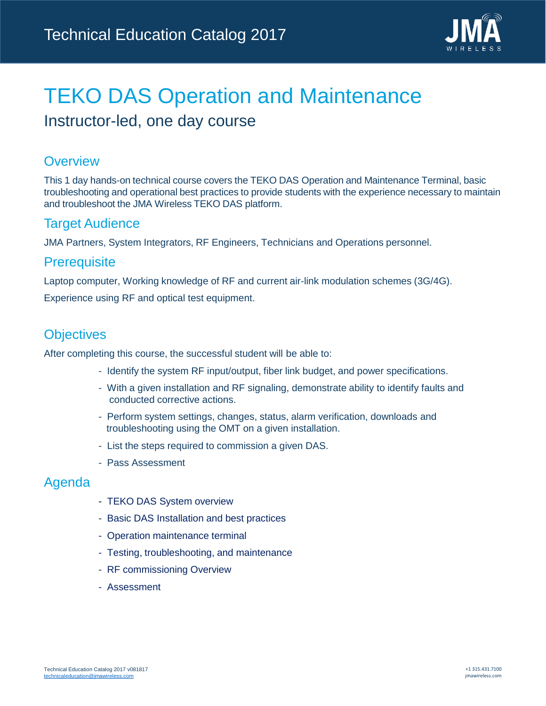

## TEKO DAS Operation and Maintenance Instructor-led, one day course

### **Overview**

This 1 day hands-on technical course covers the TEKO DAS Operation and Maintenance Terminal, basic troubleshooting and operational best practices to provide students with the experience necessary to maintain and troubleshoot the JMA Wireless TEKO DAS platform.

#### Target Audience

JMA Partners, System Integrators, RF Engineers, Technicians and Operations personnel.

#### **Prerequisite**

Laptop computer, Working knowledge of RF and current air-link modulation schemes (3G/4G).

Experience using RF and optical test equipment.

### **Objectives**

After completing this course, the successful student will be able to:

- Identify the system RF input/output, fiber link budget, and power specifications.
- With a given installation and RF signaling, demonstrate ability to identify faults and conducted corrective actions.
- Perform system settings, changes, status, alarm verification, downloads and troubleshooting using the OMT on a given installation.
- List the steps required to commission a given DAS.
- Pass Assessment

- TEKO DAS System overview
- Basic DAS Installation and best practices
- Operation maintenance terminal
- Testing, troubleshooting, and maintenance
- RF commissioning Overview
- Assessment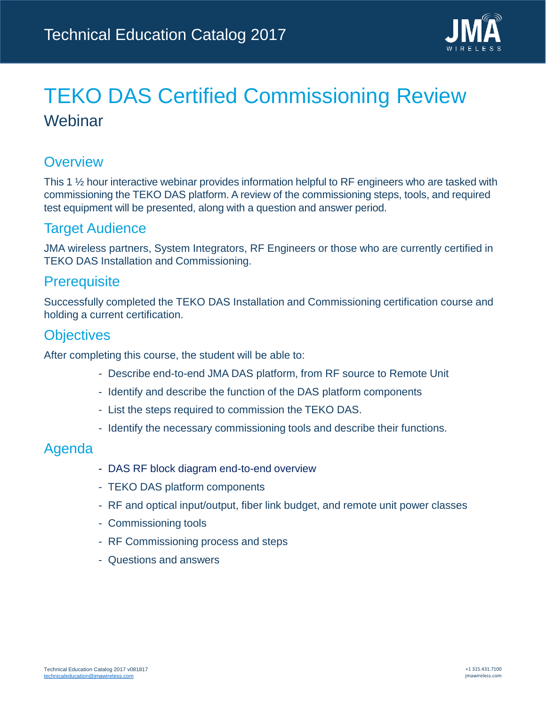

# TEKO DAS Certified Commissioning Review Webinar

### **Overview**

This 1  $\frac{1}{2}$  hour interactive webinar provides information helpful to RF engineers who are tasked with commissioning the TEKO DAS platform. A review of the commissioning steps, tools, and required test equipment will be presented, along with a question and answer period.

### Target Audience

JMA wireless partners, System Integrators, RF Engineers or those who are currently certified in TEKO DAS Installation and Commissioning.

### **Prerequisite**

Successfully completed the TEKO DAS Installation and Commissioning certification course and holding a current certification.

### **Objectives**

After completing this course, the student will be able to:

- Describe end-to-end JMA DAS platform, from RF source to Remote Unit
- Identify and describe the function of the DAS platform components
- List the steps required to commission the TEKO DAS.
- Identify the necessary commissioning tools and describe their functions.

- DAS RF block diagram end-to-end overview
- TEKO DAS platform components
- RF and optical input/output, fiber link budget, and remote unit power classes
- Commissioning tools
- RF Commissioning process and steps
- Questions and answers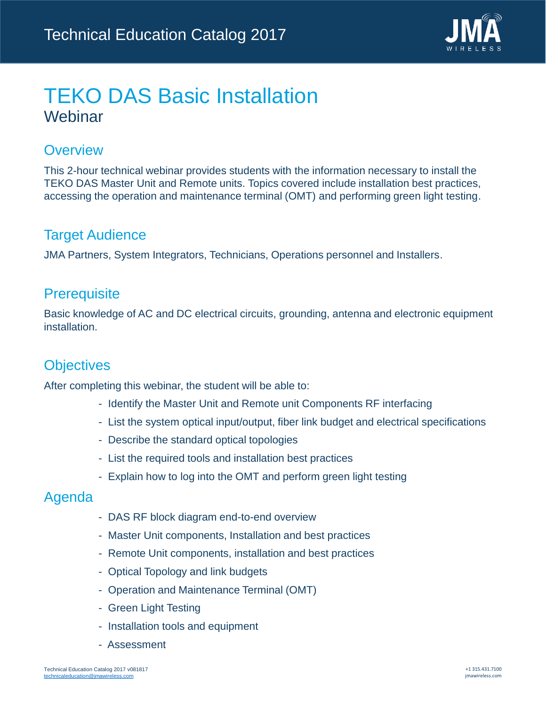

## TEKO DAS Basic Installation Webinar

### **Overview**

This 2-hour technical webinar provides students with the information necessary to install the TEKO DAS Master Unit and Remote units. Topics covered include installation best practices, accessing the operation and maintenance terminal (OMT) and performing green light testing.

### Target Audience

JMA Partners, System Integrators, Technicians, Operations personnel and Installers.

### **Prerequisite**

Basic knowledge of AC and DC electrical circuits, grounding, antenna and electronic equipment installation.

## **Objectives**

After completing this webinar, the student will be able to:

- Identify the Master Unit and Remote unit Components RF interfacing
- List the system optical input/output, fiber link budget and electrical specifications
- Describe the standard optical topologies
- List the required tools and installation best practices
- Explain how to log into the OMT and perform green light testing

- DAS RF block diagram end-to-end overview
- Master Unit components, Installation and best practices
- Remote Unit components, installation and best practices
- Optical Topology and link budgets
- Operation and Maintenance Terminal (OMT)
- Green Light Testing
- Installation tools and equipment
- Assessment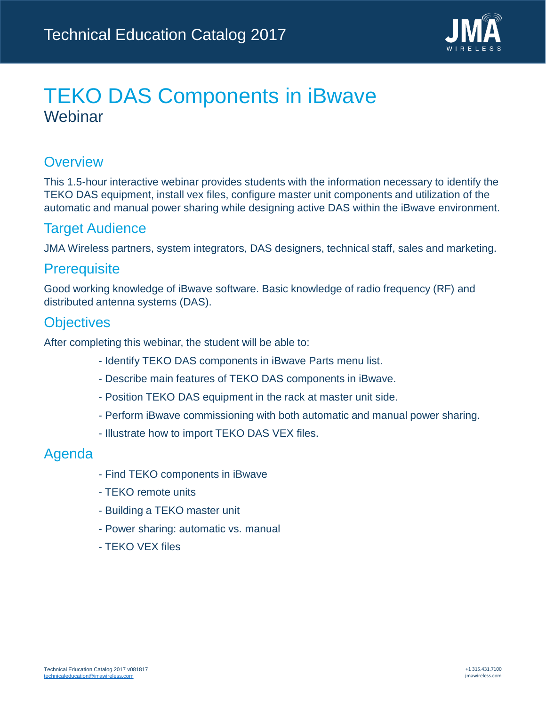

## TEKO DAS Components in iBwave Webinar

### **Overview**

This 1.5-hour interactive webinar provides students with the information necessary to identify the TEKO DAS equipment, install vex files, configure master unit components and utilization of the automatic and manual power sharing while designing active DAS within the iBwave environment.

### Target Audience

JMA Wireless partners, system integrators, DAS designers, technical staff, sales and marketing.

### **Prerequisite**

Good working knowledge of iBwave software. Basic knowledge of radio frequency (RF) and distributed antenna systems (DAS).

### **Objectives**

After completing this webinar, the student will be able to:

- Identify TEKO DAS components in iBwave Parts menu list.
- Describe main features of TEKO DAS components in iBwave.
- Position TEKO DAS equipment in the rack at master unit side.
- Perform iBwave commissioning with both automatic and manual power sharing.
- Illustrate how to import TEKO DAS VEX files.

- Find TEKO components in iBwave
- TEKO remote units
- Building a TEKO master unit
- Power sharing: automatic vs. manual
- TEKO VEX files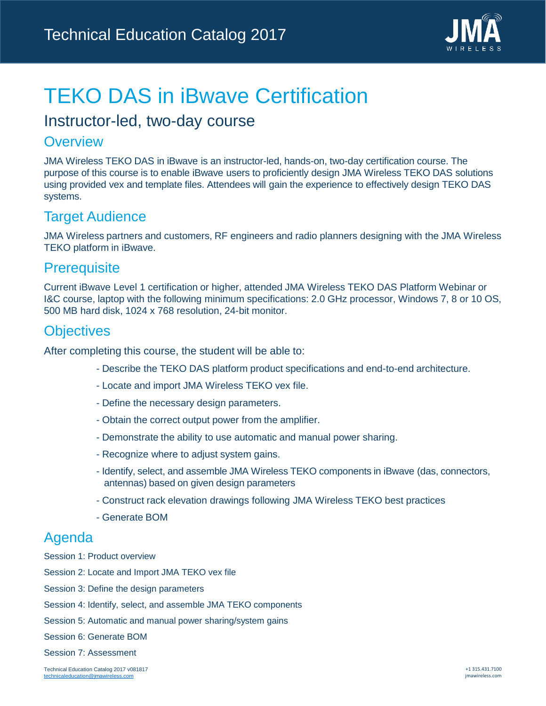

# TEKO DAS in iBwave Certification

## Instructor-led, two-day course

#### **Overview**

JMA Wireless TEKO DAS in iBwave is an instructor-led, hands-on, two-day certification course. The purpose of this course is to enable iBwave users to proficiently design JMA Wireless TEKO DAS solutions using provided vex and template files. Attendees will gain the experience to effectively design TEKO DAS systems.

## Target Audience

JMA Wireless partners and customers, RF engineers and radio planners designing with the JMA Wireless TEKO platform in iBwave.

### **Prerequisite**

Current iBwave Level 1 certification or higher, attended JMA Wireless TEKO DAS Platform Webinar or I&C course, laptop with the following minimum specifications: 2.0 GHz processor, Windows 7, 8 or 10 OS, 500 MB hard disk, 1024 x 768 resolution, 24-bit monitor.

### **Objectives**

After completing this course, the student will be able to:

- Describe the TEKO DAS platform product specifications and end-to-end architecture.
- Locate and import JMA Wireless TEKO vex file.
- Define the necessary design parameters.
- Obtain the correct output power from the amplifier.
- Demonstrate the ability to use automatic and manual power sharing.
- Recognize where to adjust system gains.
- Identify, select, and assemble JMA Wireless TEKO components in iBwave (das, connectors, antennas) based on given design parameters
- Construct rack elevation drawings following JMA Wireless TEKO best practices
- Generate BOM

- Session 1: Product overview
- Session 2: Locate and Import JMA TEKO vex file
- Session 3: Define the design parameters
- Session 4: Identify, select, and assemble JMA TEKO components
- Session 5: Automatic and manual power sharing/system gains
- Session 6: Generate BOM
- Session 7: Assessment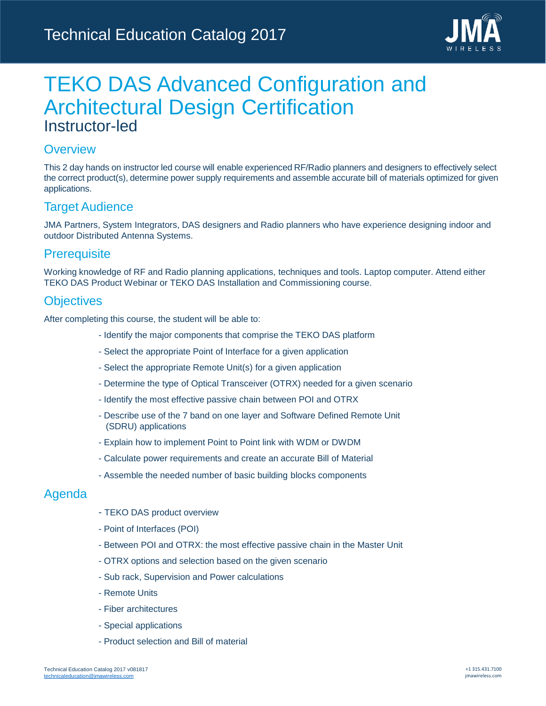

## TEKO DAS Advanced Configuration and Architectural Design Certification Instructor-led

#### **Overview**

This 2 day hands on instructor led course will enable experienced RF/Radio planners and designers to effectively select the correct product(s), determine power supply requirements and assemble accurate bill of materials optimized for given applications.

#### Target Audience

JMA Partners, System Integrators, DAS designers and Radio planners who have experience designing indoor and outdoor Distributed Antenna Systems.

#### **Prerequisite**

Working knowledge of RF and Radio planning applications, techniques and tools. Laptop computer. Attend either TEKO DAS Product Webinar or TEKO DAS Installation and Commissioning course.

#### **Objectives**

After completing this course, the student will be able to:

- Identify the major components that comprise the TEKO DAS platform
- Select the appropriate Point of Interface for a given application
- Select the appropriate Remote Unit(s) for a given application
- Determine the type of Optical Transceiver (OTRX) needed for a given scenario
- Identify the most effective passive chain between POI and OTRX
- Describe use of the 7 band on one layer and Software Defined Remote Unit (SDRU) applications
- Explain how to implement Point to Point link with WDM or DWDM
- Calculate power requirements and create an accurate Bill of Material
- Assemble the needed number of basic building blocks components

- TEKO DAS product overview
- Point of Interfaces (POI)
- Between POI and OTRX: the most effective passive chain in the Master Unit
- OTRX options and selection based on the given scenario
- Sub rack, Supervision and Power calculations
- Remote Units
- Fiber architectures
- Special applications
- Product selection and Bill of material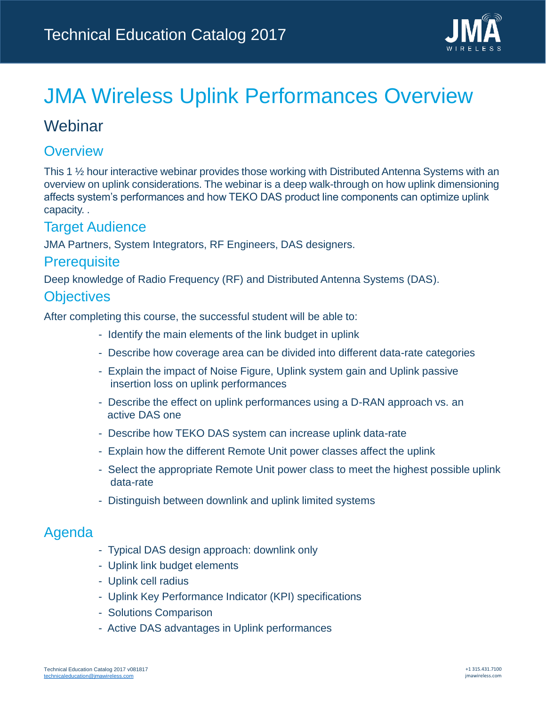

# JMA Wireless Uplink Performances Overview

## **Webinar**

### **Overview**

This 1 ½ hour interactive webinar provides those working with Distributed Antenna Systems with an overview on uplink considerations. The webinar is a deep walk-through on how uplink dimensioning affects system's performances and how TEKO DAS product line components can optimize uplink capacity. .

### Target Audience

JMA Partners, System Integrators, RF Engineers, DAS designers.

#### **Prerequisite**

Deep knowledge of Radio Frequency (RF) and Distributed Antenna Systems (DAS).

#### **Objectives**

After completing this course, the successful student will be able to:

- Identify the main elements of the link budget in uplink
- Describe how coverage area can be divided into different data-rate categories
- Explain the impact of Noise Figure, Uplink system gain and Uplink passive insertion loss on uplink performances
- Describe the effect on uplink performances using a D-RAN approach vs. an active DAS one
- Describe how TEKO DAS system can increase uplink data-rate
- Explain how the different Remote Unit power classes affect the uplink
- Select the appropriate Remote Unit power class to meet the highest possible uplink data-rate
- Distinguish between downlink and uplink limited systems

- Typical DAS design approach: downlink only
- Uplink link budget elements
- Uplink cell radius
- Uplink Key Performance Indicator (KPI) specifications
- Solutions Comparison
- Active DAS advantages in Uplink performances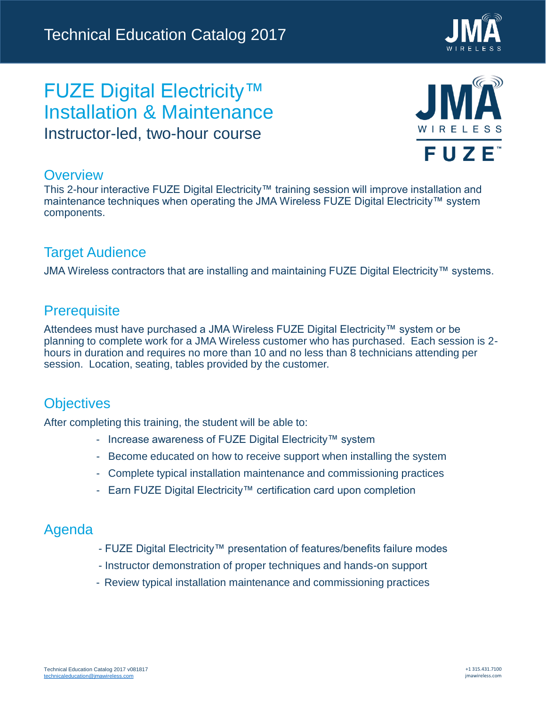

## FUZE Digital Electricity™ Installation & Maintenance Instructor-led, two-hour course



#### **Overview**

This 2-hour interactive FUZE Digital Electricity™ training session will improve installation and maintenance techniques when operating the JMA Wireless FUZE Digital Electricity™ system components.

### Target Audience

JMA Wireless contractors that are installing and maintaining FUZE Digital Electricity™ systems.

### **Prerequisite**

Attendees must have purchased a JMA Wireless FUZE Digital Electricity™ system or be planning to complete work for a JMA Wireless customer who has purchased. Each session is 2 hours in duration and requires no more than 10 and no less than 8 technicians attending per session. Location, seating, tables provided by the customer.

### **Objectives**

After completing this training, the student will be able to:

- Increase awareness of FUZE Digital Electricity™ system
- Become educated on how to receive support when installing the system
- Complete typical installation maintenance and commissioning practices
- Earn FUZE Digital Electricity™ certification card upon completion

- FUZE Digital Electricity™ presentation of features/benefits failure modes
- Instructor demonstration of proper techniques and hands-on support
- Review typical installation maintenance and commissioning practices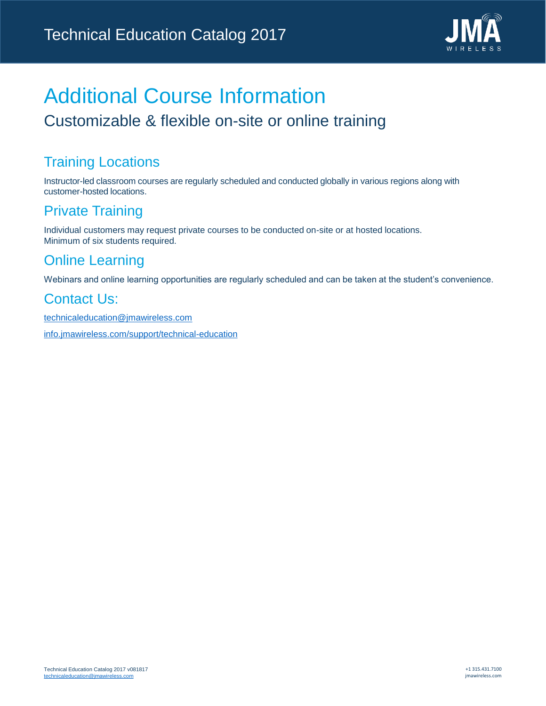

# Additional Course Information Customizable & flexible on-site or online training

## Training Locations

Instructor-led classroom courses are regularly scheduled and conducted globally in various regions along with customer-hosted locations.

## Private Training

Individual customers may request private courses to be conducted on-site or at hosted locations. Minimum of six students required.

## Online Learning

Webinars and online learning opportunities are regularly scheduled and can be taken at the student's convenience.

## Contact Us:

[technicaleducation@jmawireless.com](mailto:technicaleducation@jmawireless.com?subject=Technical Education Request) <info.jmawireless.com/support/technical-education>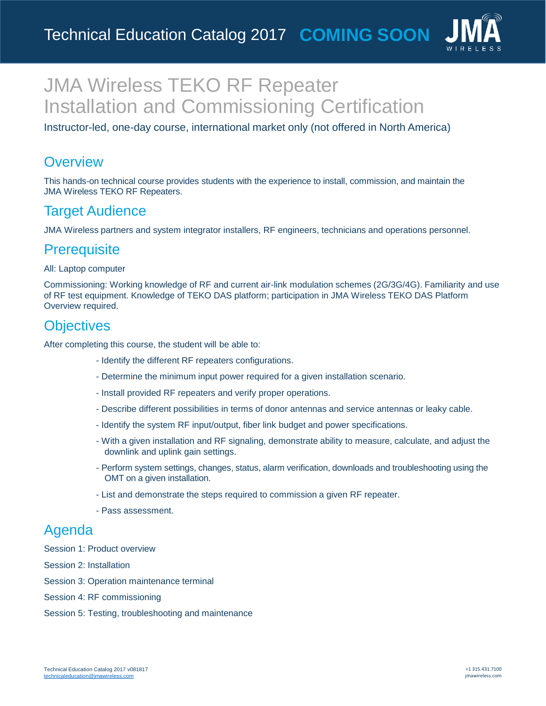

## JMA Wireless TEKO RF Repeater Installation and Commissioning Certification

Instructor-led, one-day course, international market only (not offered in North America)

### **Overview**

This hands-on technical course provides students with the experience to install, commission, and maintain the JMA Wireless TEKO RF Repeaters.

## Target Audience

JMA Wireless partners and system integrator installers, RF engineers, technicians and operations personnel.

## **Prerequisite**

#### All: Laptop computer

Commissioning: Working knowledge of RF and current air-link modulation schemes (2G/3G/4G). Familiarity and use of RF test equipment. Knowledge of TEKO DAS platform; participation in JMA Wireless TEKO DAS Platform Overview required.

### **Objectives**

After completing this course, the student will be able to:

- Identify the different RF repeaters configurations.
- Determine the minimum input power required for a given installation scenario.
- Install provided RF repeaters and verify proper operations.
- Describe different possibilities in terms of donor antennas and service antennas or leaky cable.
- Identify the system RF input/output, fiber link budget and power specifications.
- With a given installation and RF signaling, demonstrate ability to measure, calculate, and adjust the downlink and uplink gain settings.
- Perform system settings, changes, status, alarm verification, downloads and troubleshooting using the OMT on a given installation.
- List and demonstrate the steps required to commission a given RF repeater.
- Pass assessment.

### Agenda

Session 1: Product overview

Session 2: Installation

- Session 3: Operation maintenance terminal
- Session 4: RF commissioning
- Session 5: Testing, troubleshooting and maintenance